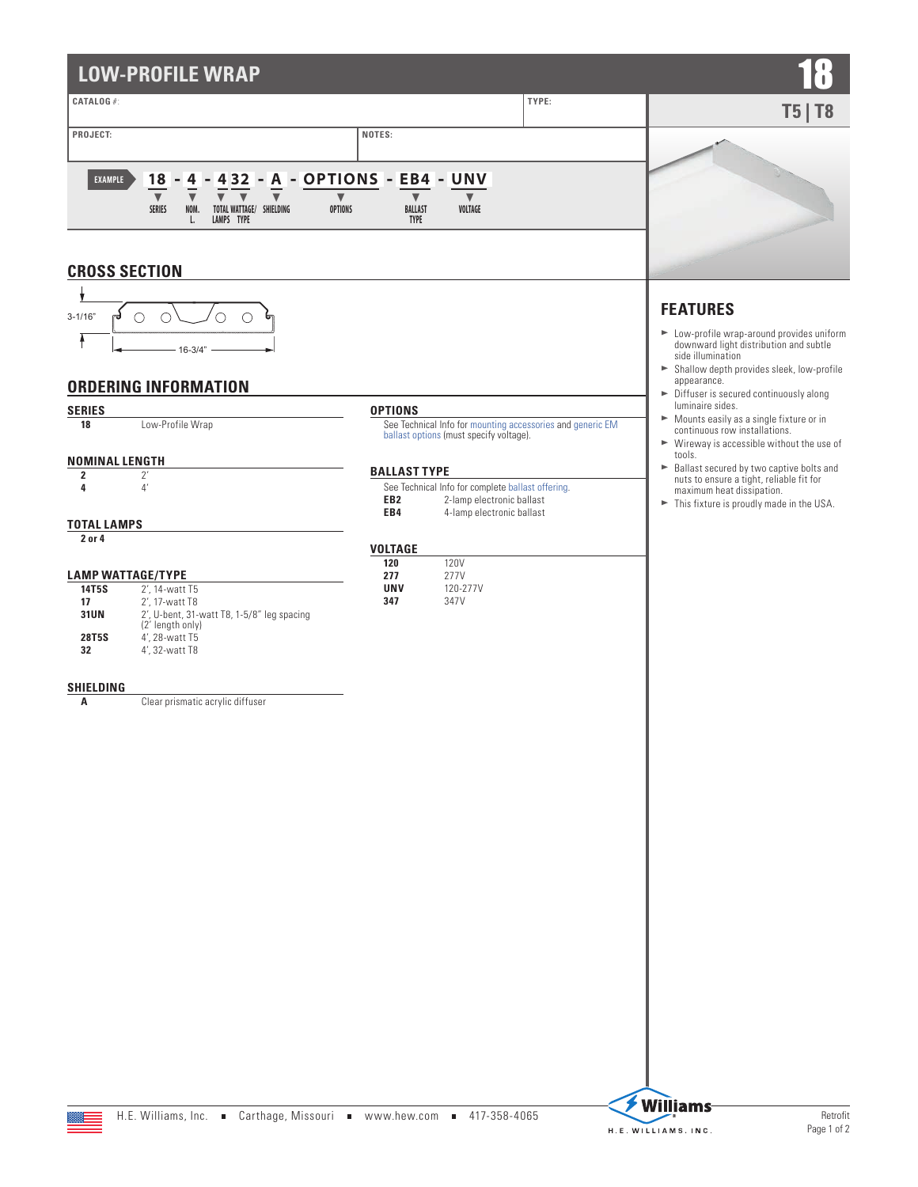